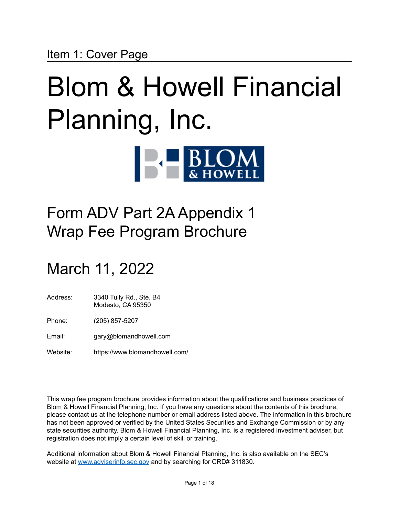# <span id="page-0-0"></span>Blom & Howell Financial Planning, Inc.  $\blacksquare$

# Form ADV Part 2A Appendix 1 Wrap Fee Program Brochure

# March 11, 2022

- Address: 3340 Tully Rd., Ste. B4 Modesto, CA 95350
- Phone: (205) 857-5207
- Email: gary@blomandhowell.com
- Website: https://www.blomandhowell.com/

This wrap fee program brochure provides information about the qualifications and business practices of Blom & Howell Financial Planning, Inc. If you have any questions about the contents of this brochure, please contact us at the telephone number or email address listed above. The information in this brochure has not been approved or verified by the United States Securities and Exchange Commission or by any state securities authority. Blom & Howell Financial Planning, Inc. is a registered investment adviser, but registration does not imply a certain level of skill or training.

Additional information about Blom & Howell Financial Planning, Inc. is also available on the SEC's website at [www.adviserinfo.sec.gov](http://www.adviserinfo.sec.gov) and by searching for CRD# 311830.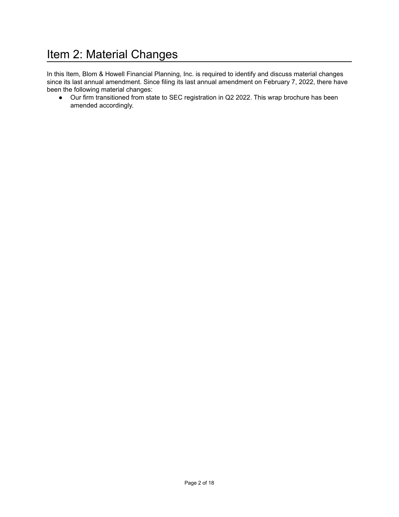### <span id="page-1-0"></span>Item 2: Material Changes

In this Item, Blom & Howell Financial Planning, Inc. is required to identify and discuss material changes since its last annual amendment. Since filing its last annual amendment on February 7, 2022, there have been the following material changes:

● Our firm transitioned from state to SEC registration in Q2 2022. This wrap brochure has been amended accordingly.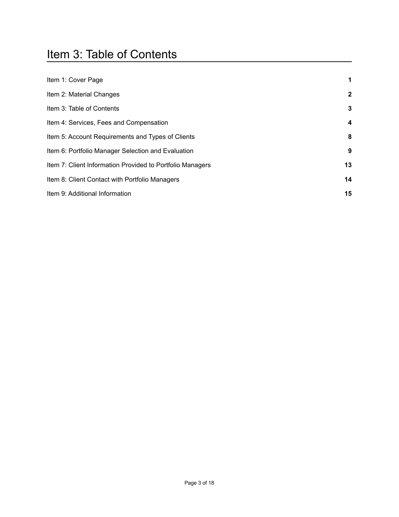### <span id="page-2-0"></span>Item 3: Table of Contents

| Item 1: Cover Page                                        | $\mathbf 1$             |
|-----------------------------------------------------------|-------------------------|
| Item 2: Material Changes                                  | $\mathbf{2}$            |
| Item 3: Table of Contents                                 | $\mathbf{3}$            |
| Item 4: Services, Fees and Compensation                   | $\overline{\mathbf{4}}$ |
| Item 5: Account Requirements and Types of Clients         | 8                       |
| Item 6: Portfolio Manager Selection and Evaluation        | 9                       |
| Item 7: Client Information Provided to Portfolio Managers | 13                      |
| Item 8: Client Contact with Portfolio Managers            | 14                      |
| Item 9: Additional Information                            | 15                      |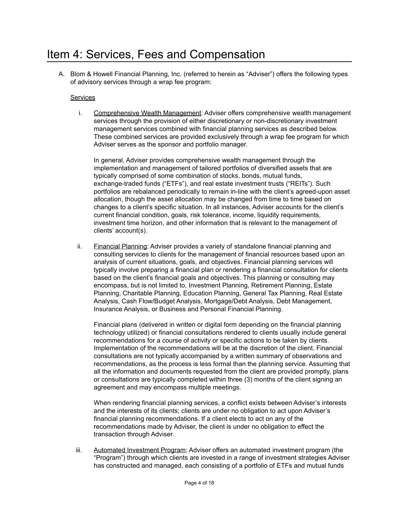#### <span id="page-3-0"></span>Item 4: Services, Fees and Compensation

A. Blom & Howell Financial Planning, Inc. (referred to herein as "Adviser") offers the following types of advisory services through a wrap fee program:

#### **Services**

i. Comprehensive Wealth Management: Adviser offers comprehensive wealth management services through the provision of either discretionary or non-discretionary investment management services combined with financial planning services as described below. These combined services are provided exclusively through a wrap fee program for which Adviser serves as the sponsor and portfolio manager.

In general, Adviser provides comprehensive wealth management through the implementation and management of tailored portfolios of diversified assets that are typically comprised of some combination of stocks, bonds, mutual funds, exchange-traded funds ("ETFs"), and real estate investment trusts ("REITs"). Such portfolios are rebalanced periodically to remain in-line with the client's agreed-upon asset allocation, though the asset allocation may be changed from time to time based on changes to a client's specific situation. In all instances, Adviser accounts for the client's current financial condition, goals, risk tolerance, income, liquidity requirements, investment time horizon, and other information that is relevant to the management of clients' account(s).

ii. Financial Planning: Adviser provides a variety of standalone financial planning and consulting services to clients for the management of financial resources based upon an analysis of current situations, goals, and objectives. Financial planning services will typically involve preparing a financial plan or rendering a financial consultation for clients based on the client's financial goals and objectives. This planning or consulting may encompass, but is not limited to, Investment Planning, Retirement Planning, Estate Planning, Charitable Planning, Education Planning, General Tax Planning, Real Estate Analysis, Cash Flow/Budget Analysis, Mortgage/Debt Analysis, Debt Management, Insurance Analysis, or Business and Personal Financial Planning.

Financial plans (delivered in written or digital form depending on the financial planning technology utilized) or financial consultations rendered to clients usually include general recommendations for a course of activity or specific actions to be taken by clients. Implementation of the recommendations will be at the discretion of the client. Financial consultations are not typically accompanied by a written summary of observations and recommendations, as the process is less formal than the planning service. Assuming that all the information and documents requested from the client are provided promptly, plans or consultations are typically completed within three (3) months of the client signing an agreement and may encompass multiple meetings.

When rendering financial planning services, a conflict exists between Adviser's interests and the interests of its clients; clients are under no obligation to act upon Adviser's financial planning recommendations. If a client elects to act on any of the recommendations made by Adviser, the client is under no obligation to effect the transaction through Adviser.

iii. Automated Investment Program: Adviser offers an automated investment program (the "Program") through which clients are invested in a range of investment strategies Adviser has constructed and managed, each consisting of a portfolio of ETFs and mutual funds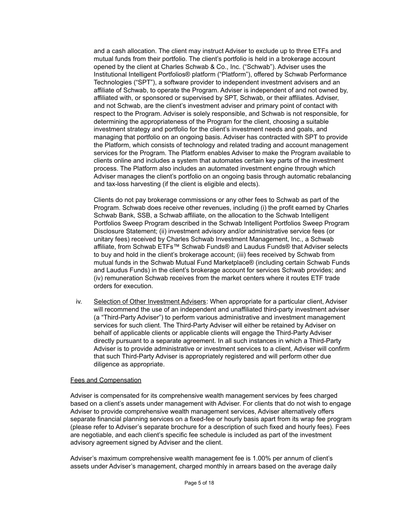and a cash allocation. The client may instruct Adviser to exclude up to three ETFs and mutual funds from their portfolio. The client's portfolio is held in a brokerage account opened by the client at Charles Schwab & Co., Inc. ("Schwab"). Adviser uses the Institutional Intelligent Portfolios® platform ("Platform"), offered by Schwab Performance Technologies ("SPT"), a software provider to independent investment advisers and an affiliate of Schwab, to operate the Program. Adviser is independent of and not owned by, affiliated with, or sponsored or supervised by SPT, Schwab, or their affiliates. Adviser, and not Schwab, are the client's investment adviser and primary point of contact with respect to the Program. Adviser is solely responsible, and Schwab is not responsible, for determining the appropriateness of the Program for the client, choosing a suitable investment strategy and portfolio for the client's investment needs and goals, and managing that portfolio on an ongoing basis. Adviser has contracted with SPT to provide the Platform, which consists of technology and related trading and account management services for the Program. The Platform enables Adviser to make the Program available to clients online and includes a system that automates certain key parts of the investment process. The Platform also includes an automated investment engine through which Adviser manages the client's portfolio on an ongoing basis through automatic rebalancing and tax-loss harvesting (if the client is eligible and elects).

Clients do not pay brokerage commissions or any other fees to Schwab as part of the Program. Schwab does receive other revenues, including (i) the profit earned by Charles Schwab Bank, SSB, a Schwab affiliate, on the allocation to the Schwab Intelligent Portfolios Sweep Program described in the Schwab Intelligent Portfolios Sweep Program Disclosure Statement; (ii) investment advisory and/or administrative service fees (or unitary fees) received by Charles Schwab Investment Management, Inc., a Schwab affiliate, from Schwab ETFs™ Schwab Funds® and Laudus Funds® that Adviser selects to buy and hold in the client's brokerage account; (iii) fees received by Schwab from mutual funds in the Schwab Mutual Fund Marketplace® (including certain Schwab Funds and Laudus Funds) in the client's brokerage account for services Schwab provides; and (iv) remuneration Schwab receives from the market centers where it routes ETF trade orders for execution.

iv. Selection of Other Investment Advisers: When appropriate for a particular client, Adviser will recommend the use of an independent and unaffiliated third-party investment adviser (a "Third-Party Adviser") to perform various administrative and investment management services for such client. The Third-Party Adviser will either be retained by Adviser on behalf of applicable clients or applicable clients will engage the Third-Party Adviser directly pursuant to a separate agreement. In all such instances in which a Third-Party Adviser is to provide administrative or investment services to a client, Adviser will confirm that such Third-Party Adviser is appropriately registered and will perform other due diligence as appropriate.

#### Fees and Compensation

Adviser is compensated for its comprehensive wealth management services by fees charged based on a client's assets under management with Adviser. For clients that do not wish to engage Adviser to provide comprehensive wealth management services, Adviser alternatively offers separate financial planning services on a fixed-fee or hourly basis apart from its wrap fee program (please refer to Adviser's separate brochure for a description of such fixed and hourly fees). Fees are negotiable, and each client's specific fee schedule is included as part of the investment advisory agreement signed by Adviser and the client.

Adviser's maximum comprehensive wealth management fee is 1.00% per annum of client's assets under Adviser's management, charged monthly in arrears based on the average daily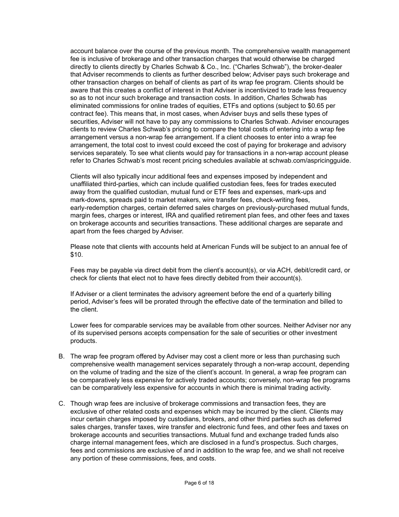account balance over the course of the previous month. The comprehensive wealth management fee is inclusive of brokerage and other transaction charges that would otherwise be charged directly to clients directly by Charles Schwab & Co., Inc. ("Charles Schwab"), the broker-dealer that Adviser recommends to clients as further described below; Adviser pays such brokerage and other transaction charges on behalf of clients as part of its wrap fee program. Clients should be aware that this creates a conflict of interest in that Adviser is incentivized to trade less frequency so as to not incur such brokerage and transaction costs. In addition, Charles Schwab has eliminated commissions for online trades of equities, ETFs and options (subject to \$0.65 per contract fee). This means that, in most cases, when Adviser buys and sells these types of securities, Adviser will not have to pay any commissions to Charles Schwab. Adviser encourages clients to review Charles Schwab's pricing to compare the total costs of entering into a wrap fee arrangement versus a non-wrap fee arrangement. If a client chooses to enter into a wrap fee arrangement, the total cost to invest could exceed the cost of paying for brokerage and advisory services separately. To see what clients would pay for transactions in a non-wrap account please refer to Charles Schwab's most recent pricing schedules available at schwab.com/aspricingguide.

Clients will also typically incur additional fees and expenses imposed by independent and unaffiliated third-parties, which can include qualified custodian fees, fees for trades executed away from the qualified custodian, mutual fund or ETF fees and expenses, mark-ups and mark-downs, spreads paid to market makers, wire transfer fees, check-writing fees, early-redemption charges, certain deferred sales charges on previously-purchased mutual funds, margin fees, charges or interest, IRA and qualified retirement plan fees, and other fees and taxes on brokerage accounts and securities transactions. These additional charges are separate and apart from the fees charged by Adviser.

Please note that clients with accounts held at American Funds will be subject to an annual fee of \$10.

Fees may be payable via direct debit from the client's account(s), or via ACH, debit/credit card, or check for clients that elect not to have fees directly debited from their account(s).

If Adviser or a client terminates the advisory agreement before the end of a quarterly billing period, Adviser's fees will be prorated through the effective date of the termination and billed to the client.

Lower fees for comparable services may be available from other sources. Neither Adviser nor any of its supervised persons accepts compensation for the sale of securities or other investment products.

- B. The wrap fee program offered by Adviser may cost a client more or less than purchasing such comprehensive wealth management services separately through a non-wrap account, depending on the volume of trading and the size of the client's account. In general, a wrap fee program can be comparatively less expensive for actively traded accounts; conversely, non-wrap fee programs can be comparatively less expensive for accounts in which there is minimal trading activity.
- C. Though wrap fees are inclusive of brokerage commissions and transaction fees, they are exclusive of other related costs and expenses which may be incurred by the client. Clients may incur certain charges imposed by custodians, brokers, and other third parties such as deferred sales charges, transfer taxes, wire transfer and electronic fund fees, and other fees and taxes on brokerage accounts and securities transactions. Mutual fund and exchange traded funds also charge internal management fees, which are disclosed in a fund's prospectus. Such charges, fees and commissions are exclusive of and in addition to the wrap fee, and we shall not receive any portion of these commissions, fees, and costs.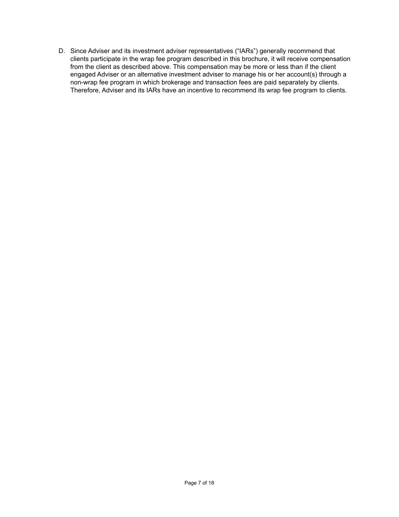D. Since Adviser and its investment adviser representatives ("IARs") generally recommend that clients participate in the wrap fee program described in this brochure, it will receive compensation from the client as described above. This compensation may be more or less than if the client engaged Adviser or an alternative investment adviser to manage his or her account(s) through a non-wrap fee program in which brokerage and transaction fees are paid separately by clients. Therefore, Adviser and its IARs have an incentive to recommend its wrap fee program to clients.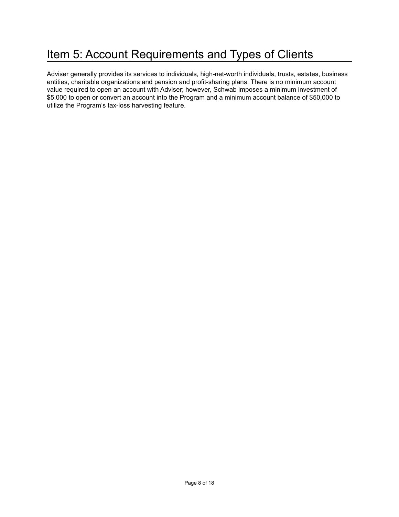### <span id="page-7-0"></span>Item 5: Account Requirements and Types of Clients

Adviser generally provides its services to individuals, high-net-worth individuals, trusts, estates, business entities, charitable organizations and pension and profit-sharing plans. There is no minimum account value required to open an account with Adviser; however, Schwab imposes a minimum investment of \$5,000 to open or convert an account into the Program and a minimum account balance of \$50,000 to utilize the Program's tax-loss harvesting feature.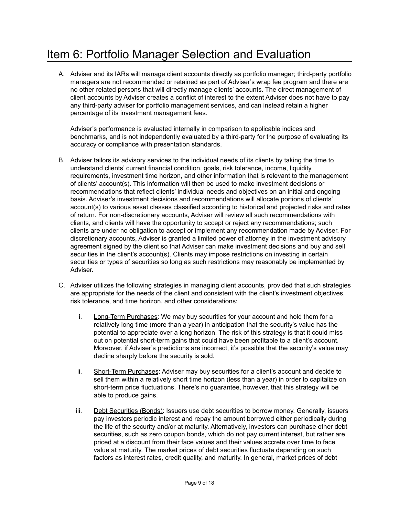### <span id="page-8-0"></span>Item 6: Portfolio Manager Selection and Evaluation

A. Adviser and its IARs will manage client accounts directly as portfolio manager; third-party portfolio managers are not recommended or retained as part of Adviser's wrap fee program and there are no other related persons that will directly manage clients' accounts. The direct management of client accounts by Adviser creates a conflict of interest to the extent Adviser does not have to pay any third-party adviser for portfolio management services, and can instead retain a higher percentage of its investment management fees.

Adviser's performance is evaluated internally in comparison to applicable indices and benchmarks, and is not independently evaluated by a third-party for the purpose of evaluating its accuracy or compliance with presentation standards.

- B. Adviser tailors its advisory services to the individual needs of its clients by taking the time to understand clients' current financial condition, goals, risk tolerance, income, liquidity requirements, investment time horizon, and other information that is relevant to the management of clients' account(s). This information will then be used to make investment decisions or recommendations that reflect clients' individual needs and objectives on an initial and ongoing basis. Adviser's investment decisions and recommendations will allocate portions of clients' account(s) to various asset classes classified according to historical and projected risks and rates of return. For non-discretionary accounts, Adviser will review all such recommendations with clients, and clients will have the opportunity to accept or reject any recommendations; such clients are under no obligation to accept or implement any recommendation made by Adviser. For discretionary accounts, Adviser is granted a limited power of attorney in the investment advisory agreement signed by the client so that Adviser can make investment decisions and buy and sell securities in the client's account(s). Clients may impose restrictions on investing in certain securities or types of securities so long as such restrictions may reasonably be implemented by Adviser.
- C. Adviser utilizes the following strategies in managing client accounts, provided that such strategies are appropriate for the needs of the client and consistent with the client's investment objectives, risk tolerance, and time horizon, and other considerations:
	- i. Long-Term Purchases: We may buy securities for your account and hold them for a relatively long time (more than a year) in anticipation that the security's value has the potential to appreciate over a long horizon. The risk of this strategy is that it could miss out on potential short-term gains that could have been profitable to a client's account. Moreover, if Adviser's predictions are incorrect, it's possible that the security's value may decline sharply before the security is sold.
	- ii. Short-Term Purchases: Adviser may buy securities for a client's account and decide to sell them within a relatively short time horizon (less than a year) in order to capitalize on short-term price fluctuations. There's no guarantee, however, that this strategy will be able to produce gains.
	- iii. Debt Securities (Bonds): Issuers use debt securities to borrow money. Generally, issuers pay investors periodic interest and repay the amount borrowed either periodically during the life of the security and/or at maturity. Alternatively, investors can purchase other debt securities, such as zero coupon bonds, which do not pay current interest, but rather are priced at a discount from their face values and their values accrete over time to face value at maturity. The market prices of debt securities fluctuate depending on such factors as interest rates, credit quality, and maturity. In general, market prices of debt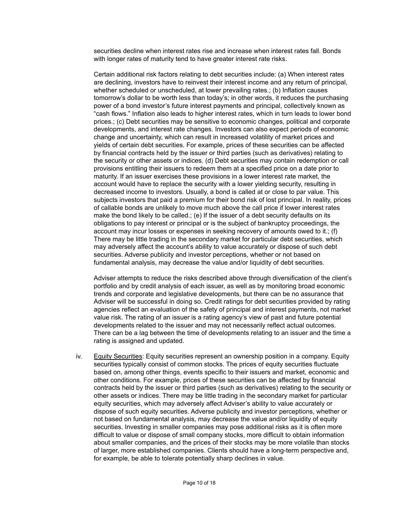securities decline when interest rates rise and increase when interest rates fall. Bonds with longer rates of maturity tend to have greater interest rate risks.

Certain additional risk factors relating to debt securities include: (a) When interest rates are declining, investors have to reinvest their interest income and any return of principal, whether scheduled or unscheduled, at lower prevailing rates.; (b) Inflation causes tomorrow's dollar to be worth less than today's; in other words, it reduces the purchasing power of a bond investor's future interest payments and principal, collectively known as "cash flows." Inflation also leads to higher interest rates, which in turn leads to lower bond prices.; (c) Debt securities may be sensitive to economic changes, political and corporate developments, and interest rate changes. Investors can also expect periods of economic change and uncertainty, which can result in increased volatility of market prices and yields of certain debt securities. For example, prices of these securities can be affected by financial contracts held by the issuer or third parties (such as derivatives) relating to the security or other assets or indices. (d) Debt securities may contain redemption or call provisions entitling their issuers to redeem them at a specified price on a date prior to maturity. If an issuer exercises these provisions in a lower interest rate market, the account would have to replace the security with a lower yielding security, resulting in decreased income to investors. Usually, a bond is called at or close to par value. This subjects investors that paid a premium for their bond risk of lost principal. In reality, prices of callable bonds are unlikely to move much above the call price if lower interest rates make the bond likely to be called.; (e) If the issuer of a debt security defaults on its obligations to pay interest or principal or is the subject of bankruptcy proceedings, the account may incur losses or expenses in seeking recovery of amounts owed to it.; (f) There may be little trading in the secondary market for particular debt securities, which may adversely affect the account's ability to value accurately or dispose of such debt securities. Adverse publicity and investor perceptions, whether or not based on fundamental analysis, may decrease the value and/or liquidity of debt securities.

Adviser attempts to reduce the risks described above through diversification of the client's portfolio and by credit analysis of each issuer, as well as by monitoring broad economic trends and corporate and legislative developments, but there can be no assurance that Adviser will be successful in doing so. Credit ratings for debt securities provided by rating agencies reflect an evaluation of the safety of principal and interest payments, not market value risk. The rating of an issuer is a rating agency's view of past and future potential developments related to the issuer and may not necessarily reflect actual outcomes. There can be a lag between the time of developments relating to an issuer and the time a rating is assigned and updated.

iv. Equity Securities: Equity securities represent an ownership position in a company. Equity securities typically consist of common stocks. The prices of equity securities fluctuate based on, among other things, events specific to their issuers and market, economic and other conditions. For example, prices of these securities can be affected by financial contracts held by the issuer or third parties (such as derivatives) relating to the security or other assets or indices. There may be little trading in the secondary market for particular equity securities, which may adversely affect Adviser's ability to value accurately or dispose of such equity securities. Adverse publicity and investor perceptions, whether or not based on fundamental analysis, may decrease the value and/or liquidity of equity securities. Investing in smaller companies may pose additional risks as it is often more difficult to value or dispose of small company stocks, more difficult to obtain information about smaller companies, and the prices of their stocks may be more volatile than stocks of larger, more established companies. Clients should have a long-term perspective and, for example, be able to tolerate potentially sharp declines in value.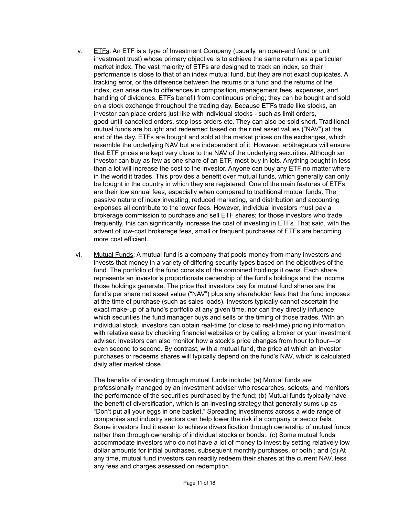- $v.$  ETFs: An ETF is a type of Investment Company (usually, an open-end fund or unit investment trust) whose primary objective is to achieve the same return as a particular market index. The vast majority of ETFs are designed to track an index, so their performance is close to that of an index mutual fund, but they are not exact duplicates. A tracking error, or the difference between the returns of a fund and the returns of the index, can arise due to differences in composition, management fees, expenses, and handling of dividends. ETFs benefit from continuous pricing; they can be bought and sold on a stock exchange throughout the trading day. Because ETFs trade like stocks, an investor can place orders just like with individual stocks - such as limit orders, good-until-cancelled orders, stop loss orders etc. They can also be sold short. Traditional mutual funds are bought and redeemed based on their net asset values ("NAV") at the end of the day. ETFs are bought and sold at the market prices on the exchanges, which resemble the underlying NAV but are independent of it. However, arbitrageurs will ensure that ETF prices are kept very close to the NAV of the underlying securities. Although an investor can buy as few as one share of an ETF, most buy in lots. Anything bought in less than a lot will increase the cost to the investor. Anyone can buy any ETF no matter where in the world it trades. This provides a benefit over mutual funds, which generally can only be bought in the country in which they are registered. One of the main features of ETFs are their low annual fees, especially when compared to traditional mutual funds. The passive nature of index investing, reduced marketing, and distribution and accounting expenses all contribute to the lower fees. However, individual investors must pay a brokerage commission to purchase and sell ETF shares; for those investors who trade frequently, this can significantly increase the cost of investing in ETFs. That said, with the advent of low-cost brokerage fees, small or frequent purchases of ETFs are becoming more cost efficient.
- vi. Mutual Funds: A mutual fund is a company that pools money from many investors and invests that money in a variety of differing security types based on the objectives of the fund. The portfolio of the fund consists of the combined holdings it owns. Each share represents an investor's proportionate ownership of the fund's holdings and the income those holdings generate. The price that investors pay for mutual fund shares are the fund's per share net asset value ("NAV") plus any shareholder fees that the fund imposes at the time of purchase (such as sales loads). Investors typically cannot ascertain the exact make-up of a fund's portfolio at any given time, nor can they directly influence which securities the fund manager buys and sells or the timing of those trades. With an individual stock, investors can obtain real-time (or close to real-time) pricing information with relative ease by checking financial websites or by calling a broker or your investment adviser. Investors can also monitor how a stock's price changes from hour to hour—or even second to second. By contrast, with a mutual fund, the price at which an investor purchases or redeems shares will typically depend on the fund's NAV, which is calculated daily after market close.
	- The benefits of investing through mutual funds include: (a) Mutual funds are professionally managed by an investment adviser who researches, selects, and monitors the performance of the securities purchased by the fund; (b) Mutual funds typically have the benefit of diversification, which is an investing strategy that generally sums up as "Don't put all your eggs in one basket." Spreading investments across a wide range of companies and industry sectors can help lower the risk if a company or sector fails. Some investors find it easier to achieve diversification through ownership of mutual funds rather than through ownership of individual stocks or bonds.; (c) Some mutual funds accommodate investors who do not have a lot of money to invest by setting relatively low dollar amounts for initial purchases, subsequent monthly purchases, or both.; and (d) At any time, mutual fund investors can readily redeem their shares at the current NAV, less any fees and charges assessed on redemption.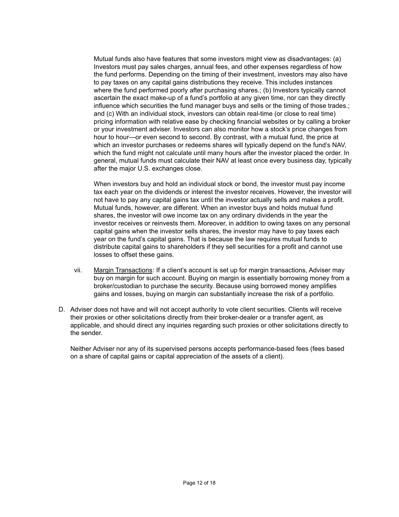Mutual funds also have features that some investors might view as disadvantages: (a) Investors must pay sales charges, annual fees, and other expenses regardless of how the fund performs. Depending on the timing of their investment, investors may also have to pay taxes on any capital gains distributions they receive. This includes instances where the fund performed poorly after purchasing shares.; (b) Investors typically cannot ascertain the exact make-up of a fund's portfolio at any given time, nor can they directly influence which securities the fund manager buys and sells or the timing of those trades.; and (c) With an individual stock, investors can obtain real-time (or close to real time) pricing information with relative ease by checking financial websites or by calling a broker or your investment adviser. Investors can also monitor how a stock's price changes from hour to hour—or even second to second. By contrast, with a mutual fund, the price at which an investor purchases or redeems shares will typically depend on the fund's NAV, which the fund might not calculate until many hours after the investor placed the order. In general, mutual funds must calculate their NAV at least once every business day, typically after the major U.S. exchanges close.

When investors buy and hold an individual stock or bond, the investor must pay income tax each year on the dividends or interest the investor receives. However, the investor will not have to pay any capital gains tax until the investor actually sells and makes a profit. Mutual funds, however, are different. When an investor buys and holds mutual fund shares, the investor will owe income tax on any ordinary dividends in the year the investor receives or reinvests them. Moreover, in addition to owing taxes on any personal capital gains when the investor sells shares, the investor may have to pay taxes each year on the fund's capital gains. That is because the law requires mutual funds to distribute capital gains to shareholders if they sell securities for a profit and cannot use losses to offset these gains.

- vii. Margin Transactions: If a client's account is set up for margin transactions, Adviser may buy on margin for such account. Buying on margin is essentially borrowing money from a broker/custodian to purchase the security. Because using borrowed money amplifies gains and losses, buying on margin can substantially increase the risk of a portfolio.
- D. Adviser does not have and will not accept authority to vote client securities. Clients will receive their proxies or other solicitations directly from their broker-dealer or a transfer agent, as applicable, and should direct any inquiries regarding such proxies or other solicitations directly to the sender.

Neither Adviser nor any of its supervised persons accepts performance-based fees (fees based on a share of capital gains or capital appreciation of the assets of a client).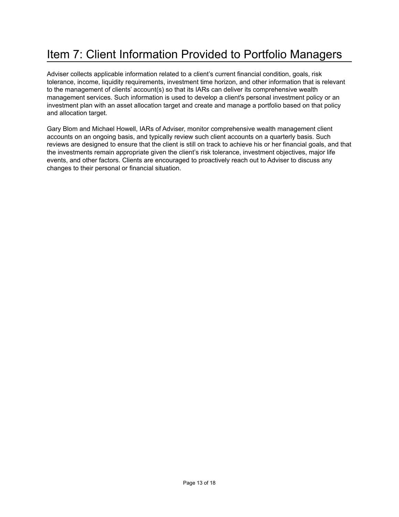### <span id="page-12-0"></span>Item 7: Client Information Provided to Portfolio Managers

Adviser collects applicable information related to a client's current financial condition, goals, risk tolerance, income, liquidity requirements, investment time horizon, and other information that is relevant to the management of clients' account(s) so that its IARs can deliver its comprehensive wealth management services. Such information is used to develop a client's personal investment policy or an investment plan with an asset allocation target and create and manage a portfolio based on that policy and allocation target.

Gary Blom and Michael Howell, IARs of Adviser, monitor comprehensive wealth management client accounts on an ongoing basis, and typically review such client accounts on a quarterly basis. Such reviews are designed to ensure that the client is still on track to achieve his or her financial goals, and that the investments remain appropriate given the client's risk tolerance, investment objectives, major life events, and other factors. Clients are encouraged to proactively reach out to Adviser to discuss any changes to their personal or financial situation.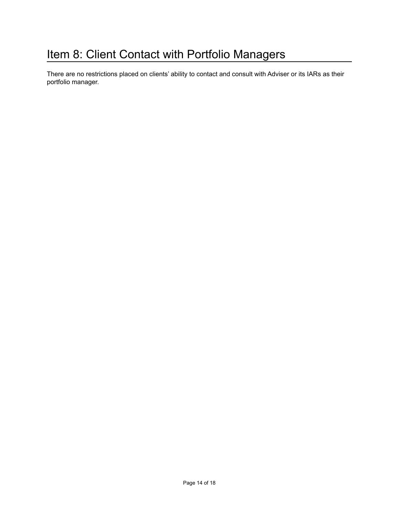### <span id="page-13-0"></span>Item 8: Client Contact with Portfolio Managers

There are no restrictions placed on clients' ability to contact and consult with Adviser or its IARs as their portfolio manager.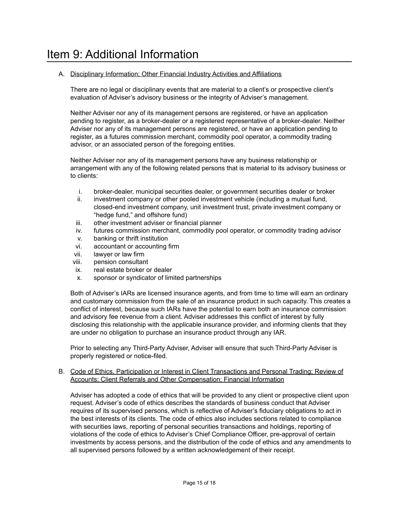#### <span id="page-14-0"></span>A. Disciplinary Information; Other Financial Industry Activities and Affiliations

There are no legal or disciplinary events that are material to a client's or prospective client's evaluation of Adviser's advisory business or the integrity of Adviser's management.

Neither Adviser nor any of its management persons are registered, or have an application pending to register, as a broker-dealer or a registered representative of a broker-dealer. Neither Adviser nor any of its management persons are registered, or have an application pending to register, as a futures commission merchant, commodity pool operator, a commodity trading advisor, or an associated person of the foregoing entities.

Neither Adviser nor any of its management persons have any business relationship or arrangement with any of the following related persons that is material to its advisory business or to clients:

- i. broker-dealer, municipal securities dealer, or government securities dealer or broker
- ii. investment company or other pooled investment vehicle (including a mutual fund, closed-end investment company, unit investment trust, private investment company or "hedge fund," and offshore fund)
- iii. other investment adviser or financial planner
- iv. futures commission merchant, commodity pool operator, or commodity trading advisor
- v. banking or thrift institution
- vi. accountant or accounting firm
- vii. lawyer or law firm
- viii. pension consultant
- ix. real estate broker or dealer
- x. sponsor or syndicator of limited partnerships

Both of Adviser's IARs are licensed insurance agents, and from time to time will earn an ordinary and customary commission from the sale of an insurance product in such capacity. This creates a conflict of interest, because such IARs have the potential to earn both an insurance commission and advisory fee revenue from a client. Adviser addresses this conflict of interest by fully disclosing this relationship with the applicable insurance provider, and informing clients that they are under no obligation to purchase an insurance product through any IAR.

Prior to selecting any Third-Party Adviser, Adviser will ensure that such Third-Party Adviser is properly registered or notice-filed.

#### B. Code of Ethics, Participation or Interest in Client Transactions and Personal Trading; Review of Accounts; Client Referrals and Other Compensation; Financial Information

Adviser has adopted a code of ethics that will be provided to any client or prospective client upon request. Adviser's code of ethics describes the standards of business conduct that Adviser requires of its supervised persons, which is reflective of Adviser's fiduciary obligations to act in the best interests of its clients. The code of ethics also includes sections related to compliance with securities laws, reporting of personal securities transactions and holdings, reporting of violations of the code of ethics to Adviser's Chief Compliance Officer, pre-approval of certain investments by access persons, and the distribution of the code of ethics and any amendments to all supervised persons followed by a written acknowledgement of their receipt.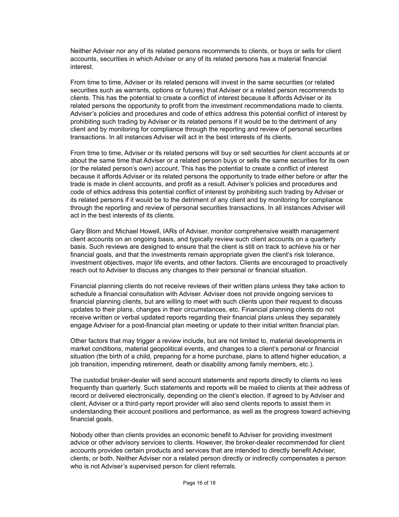Neither Adviser nor any of its related persons recommends to clients, or buys or sells for client accounts, securities in which Adviser or any of its related persons has a material financial interest.

From time to time, Adviser or its related persons will invest in the same securities (or related securities such as warrants, options or futures) that Adviser or a related person recommends to clients. This has the potential to create a conflict of interest because it affords Adviser or its related persons the opportunity to profit from the investment recommendations made to clients. Adviser's policies and procedures and code of ethics address this potential conflict of interest by prohibiting such trading by Adviser or its related persons if it would be to the detriment of any client and by monitoring for compliance through the reporting and review of personal securities transactions. In all instances Adviser will act in the best interests of its clients.

From time to time, Adviser or its related persons will buy or sell securities for client accounts at or about the same time that Adviser or a related person buys or sells the same securities for its own (or the related person's own) account. This has the potential to create a conflict of interest because it affords Adviser or its related persons the opportunity to trade either before or after the trade is made in client accounts, and profit as a result. Adviser's policies and procedures and code of ethics address this potential conflict of interest by prohibiting such trading by Adviser or its related persons if it would be to the detriment of any client and by monitoring for compliance through the reporting and review of personal securities transactions. In all instances Adviser will act in the best interests of its clients.

Gary Blom and Michael Howell, IARs of Adviser, monitor comprehensive wealth management client accounts on an ongoing basis, and typically review such client accounts on a quarterly basis. Such reviews are designed to ensure that the client is still on track to achieve his or her financial goals, and that the investments remain appropriate given the client's risk tolerance, investment objectives, major life events, and other factors. Clients are encouraged to proactively reach out to Adviser to discuss any changes to their personal or financial situation.

Financial planning clients do not receive reviews of their written plans unless they take action to schedule a financial consultation with Adviser. Adviser does not provide ongoing services to financial planning clients, but are willing to meet with such clients upon their request to discuss updates to their plans, changes in their circumstances, etc. Financial planning clients do not receive written or verbal updated reports regarding their financial plans unless they separately engage Adviser for a post-financial plan meeting or update to their initial written financial plan.

Other factors that may trigger a review include, but are not limited to, material developments in market conditions, material geopolitical events, and changes to a client's personal or financial situation (the birth of a child, preparing for a home purchase, plans to attend higher education, a job transition, impending retirement, death or disability among family members, etc.).

The custodial broker-dealer will send account statements and reports directly to clients no less frequently than quarterly. Such statements and reports will be mailed to clients at their address of record or delivered electronically, depending on the client's election. If agreed to by Adviser and client, Adviser or a third-party report provider will also send clients reports to assist them in understanding their account positions and performance, as well as the progress toward achieving financial goals.

Nobody other than clients provides an economic benefit to Adviser for providing investment advice or other advisory services to clients. However, the broker-dealer recommended for client accounts provides certain products and services that are intended to directly benefit Adviser, clients, or both. Neither Adviser nor a related person directly or indirectly compensates a person who is not Adviser's supervised person for client referrals.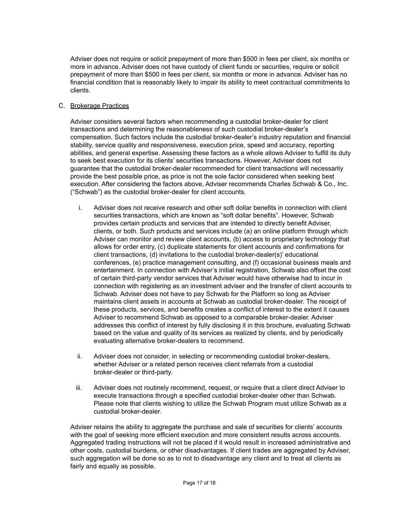Adviser does not require or solicit prepayment of more than \$500 in fees per client, six months or more in advance. Adviser does not have custody of client funds or securities, require or solicit prepayment of more than \$500 in fees per client, six months or more in advance. Adviser has no financial condition that is reasonably likely to impair its ability to meet contractual commitments to clients.

#### C. Brokerage Practices

Adviser considers several factors when recommending a custodial broker-dealer for client transactions and determining the reasonableness of such custodial broker-dealer's compensation. Such factors include the custodial broker-dealer's industry reputation and financial stability, service quality and responsiveness, execution price, speed and accuracy, reporting abilities, and general expertise. Assessing these factors as a whole allows Adviser to fulfill its duty to seek best execution for its clients' securities transactions. However, Adviser does not guarantee that the custodial broker-dealer recommended for client transactions will necessarily provide the best possible price, as price is not the sole factor considered when seeking best execution. After considering the factors above, Adviser recommends Charles Schwab & Co., Inc. ("Schwab") as the custodial broker-dealer for client accounts.

- i. Adviser does not receive research and other soft dollar benefits in connection with client securities transactions, which are known as "soft dollar benefits". However, Schwab provides certain products and services that are intended to directly benefit Adviser, clients, or both. Such products and services include (a) an online platform through which Adviser can monitor and review client accounts, (b) access to proprietary technology that allows for order entry, (c) duplicate statements for client accounts and confirmations for client transactions, (d) invitations to the custodial broker-dealer(s)' educational conferences, (e) practice management consulting, and (f) occasional business meals and entertainment. In connection with Adviser's initial registration, Schwab also offset the cost of certain third-party vendor services that Adviser would have otherwise had to incur in connection with registering as an investment adviser and the transfer of client accounts to Schwab. Adviser does not have to pay Schwab for the Platform so long as Adviser maintains client assets in accounts at Schwab as custodial broker-dealer. The receipt of these products, services, and benefits creates a conflict of interest to the extent it causes Adviser to recommend Schwab as opposed to a comparable broker-dealer. Adviser addresses this conflict of interest by fully disclosing it in this brochure, evaluating Schwab based on the value and quality of its services as realized by clients, and by periodically evaluating alternative broker-dealers to recommend.
- ii. Adviser does not consider, in selecting or recommending custodial broker-dealers, whether Adviser or a related person receives client referrals from a custodial broker-dealer or third-party.
- iii. Adviser does not routinely recommend, request, or require that a client direct Adviser to execute transactions through a specified custodial broker-dealer other than Schwab. Please note that clients wishing to utilize the Schwab Program must utilize Schwab as a custodial broker-dealer.

Adviser retains the ability to aggregate the purchase and sale of securities for clients' accounts with the goal of seeking more efficient execution and more consistent results across accounts. Aggregated trading instructions will not be placed if it would result in increased administrative and other costs, custodial burdens, or other disadvantages. If client trades are aggregated by Adviser, such aggregation will be done so as to not to disadvantage any client and to treat all clients as fairly and equally as possible.